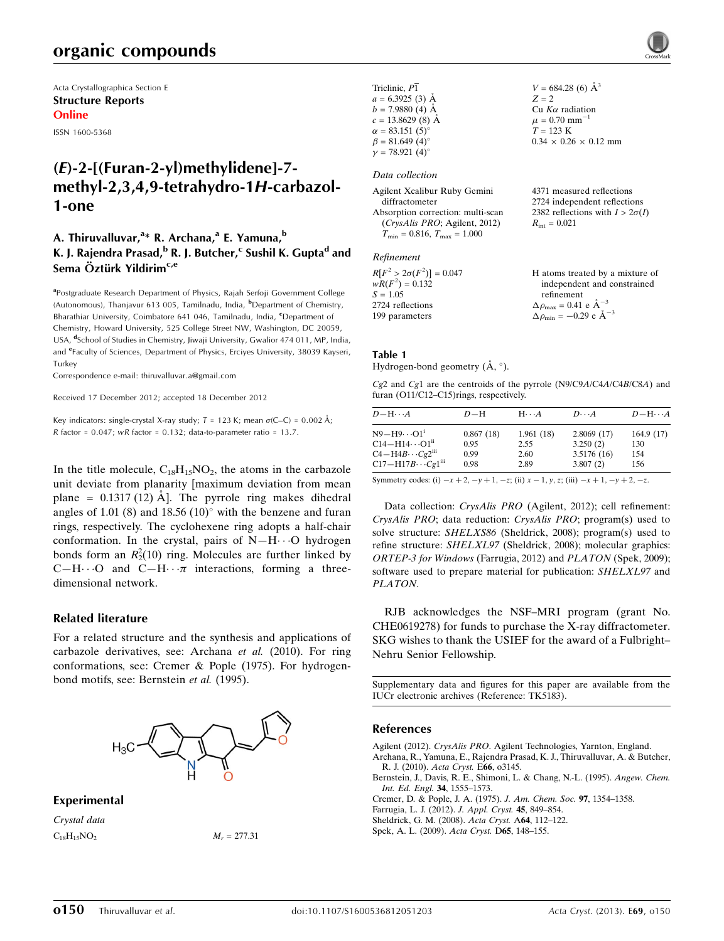Acta Crystallographica Section E Structure Reports Online

ISSN 1600-5368

# (E)-2-[(Furan-2-yl)methylidene]-7 methyl-2,3,4,9-tetrahydro-1H-carbazol-1-one

### A. Thiruvalluvar,<sup>a</sup>\* R. Archana,<sup>a</sup> E. Yamuna,<sup>b</sup> K. J. Rajendra Prasad, <sup>b</sup> R. J. Butcher,<sup>c</sup> Sushil K. Gupta<sup>d</sup> and Sema Öztürk Yildirim<sup>c,e</sup>

<sup>a</sup>Postgraduate Research Department of Physics, Rajah Serfoji Government College (Autonomous), Thanjavur 613 005, Tamilnadu, India, <sup>b</sup>Department of Chemistry, Bharathiar University, Coimbatore 641 046, Tamilnadu, India, <sup>c</sup>Department of Chemistry, Howard University, 525 College Street NW, Washington, DC 20059, USA, <sup>d</sup>School of Studies in Chemistry, Jiwaji University, Gwalior 474 011, MP, India, and <sup>e</sup>Faculty of Sciences, Department of Physics, Erciyes University, 38039 Kayseri, **Turkey** 

Correspondence e-mail: [thiruvalluvar.a@gmail.com](https://scripts.iucr.org/cgi-bin/cr.cgi?rm=pdfbb&cnor=tk5183&bbid=BB7)

Received 17 December 2012; accepted 18 December 2012

Key indicators: single-crystal X-ray study;  $T = 123$  K; mean  $\sigma$ (C–C) = 0.002 Å; R factor =  $0.047$ ; wR factor =  $0.132$ ; data-to-parameter ratio =  $13.7$ .

In the title molecule,  $C_{18}H_{15}NO_2$ , the atoms in the carbazole unit deviate from planarity [maximum deviation from mean plane =  $0.1317(12)$  Å. The pyrrole ring makes dihedral angles of 1.01 (8) and  $18.56$  (10) $^{\circ}$  with the benzene and furan rings, respectively. The cyclohexene ring adopts a half-chair conformation. In the crystal, pairs of  $N-H\cdots O$  hydrogen bonds form an  $R_2^2(10)$  ring. Molecules are further linked by C-H $\cdots$ O and C-H $\cdots$  interactions, forming a threedimensional network.

#### Related literature

For a related structure and the synthesis and applications of carbazole derivatives, see: Archana et al. (2010). For ring conformations, see: Cremer & Pople (1975). For hydrogenbond motifs, see: Bernstein et al. (1995).



## Experimental

Crystal data  $C_{18}H_{15}NO_2$   $M_r = 277.31$ 

| Triclinic, P1          |  |
|------------------------|--|
| $a = 6.3925$ (3) Å     |  |
| $b = 7.9880(4)$ Å      |  |
| $c = 13.8629$ (8) Å    |  |
| $\alpha = 83.151(5)$ ° |  |
| $\beta = 81.649(4)$ °  |  |
| $\gamma = 78.921(4)$ ° |  |

#### Data collection

| Agilent Xcalibur Ruby Gemini            | 4371 measured reflections              |
|-----------------------------------------|----------------------------------------|
| diffractometer                          | 2724 independent reflections           |
| Absorption correction: multi-scan       | 2382 reflections with $I > 2\sigma(I)$ |
| (CrysAlis PRO; Agilent, 2012)           | $R_{\rm int} = 0.021$                  |
| $T_{\min} = 0.816$ , $T_{\max} = 1.000$ |                                        |
|                                         |                                        |

#### Refinement

| $R[F^2 > 2\sigma(F^2)] = 0.047$ | H atoms treated by a mixture of                              |
|---------------------------------|--------------------------------------------------------------|
| $wR(F^2) = 0.132$               | independent and constrained                                  |
| $S = 1.05$                      | refinement                                                   |
| 2724 reflections                | $\Delta \rho_{\text{max}} = 0.41 \text{ e } \text{\AA}^{-3}$ |
| 199 parameters                  | $\Delta \rho_{\text{min}} = -0.29$ e $\AA^{-3}$              |

 $V = 684.28(6)$   $\AA^3$ 

 $0.34 \times 0.26 \times 0.12$  mm

 $Z = 2$ Cu  $K\alpha$  radiation  $\mu = 0.70$  mm<sup>-1</sup>  $T = 123$  K

#### Table 1 Hydrogen-bond geometry  $(\AA, \degree)$ .

Cg2 and Cg1 are the centroids of the pyrrole (N9/C9A/C4A/C4B/C8A) and furan (O11/C12–C15)rings, respectively.

| $D$ $\!-\mathrm{H}\cdots A$                         | $D-H$     | $H\cdots A$ | $D\cdots A$ | $D$ -H $\cdots$ A |
|-----------------------------------------------------|-----------|-------------|-------------|-------------------|
| $N9 - H9 \cdots O1^i$                               | 0.867(18) | 1.961(18)   | 2.8069(17)  | 164.9(17)         |
| $C14 - H14 \cdots O1$ <sup>ii</sup>                 | 0.95      | 2.55        | 3.250(2)    | 130               |
| $C4 - H4B \cdots Cg2$ <sup>iii</sup>                | 0.99      | 2.60        | 3.5176(16)  | 154               |
| $C17 - H17B \cdots Cg1$ <sup>iii</sup>              | 0.98      | 2.89        | 3.807(2)    | 156               |
| $\alpha$ , the contract of the contract of $\alpha$ |           |             |             |                   |

Symmetry codes: (i)  $-x + 2$ ,  $-y + 1$ ,  $-z$ ; (ii)  $x - 1$ ,  $y$ , z; (iii)  $-x + 1$ ,  $-y + 2$ ,  $-z$ .

Data collection: CrysAlis PRO (Agilent, 2012); cell refinement: CrysAlis PRO; data reduction: CrysAlis PRO; program(s) used to solve structure: SHELXS86 (Sheldrick, 2008); program(s) used to refine structure: SHELXL97 (Sheldrick, 2008); molecular graphics: ORTEP-3 for Windows (Farrugia, 2012) and PLATON (Spek, 2009); software used to prepare material for publication: SHELXL97 and PLATON.

RJB acknowledges the NSF–MRI program (grant No. CHE0619278) for funds to purchase the X-ray diffractometer. SKG wishes to thank the USIEF for the award of a Fulbright– Nehru Senior Fellowship.

Supplementary data and figures for this paper are available from the IUCr electronic archives (Reference: TK5183).

#### References

Agilent (2012). CrysAlis PRO[. Agilent Technologies, Yarnton, England.](https://scripts.iucr.org/cgi-bin/cr.cgi?rm=pdfbb&cnor=tk5183&bbid=BB1) [Archana, R., Yamuna, E., Rajendra Prasad, K. J., Thiruvalluvar, A. & Butcher,](https://scripts.iucr.org/cgi-bin/cr.cgi?rm=pdfbb&cnor=tk5183&bbid=BB2) [R. J. \(2010\).](https://scripts.iucr.org/cgi-bin/cr.cgi?rm=pdfbb&cnor=tk5183&bbid=BB2) Acta Cryst. E66, o3145. [Bernstein, J., Davis, R. E., Shimoni, L. & Chang, N.-L. \(1995\).](https://scripts.iucr.org/cgi-bin/cr.cgi?rm=pdfbb&cnor=tk5183&bbid=BB3) Angew. Chem.

[Int. Ed. Engl.](https://scripts.iucr.org/cgi-bin/cr.cgi?rm=pdfbb&cnor=tk5183&bbid=BB3) 34, 1555–1573.

[Cremer, D. & Pople, J. A. \(1975\).](https://scripts.iucr.org/cgi-bin/cr.cgi?rm=pdfbb&cnor=tk5183&bbid=BB4) J. Am. Chem. Soc. 97, 1354–1358.

[Farrugia, L. J. \(2012\).](https://scripts.iucr.org/cgi-bin/cr.cgi?rm=pdfbb&cnor=tk5183&bbid=BB5) J. Appl. Cryst. 45, 849–854.

[Sheldrick, G. M. \(2008\).](https://scripts.iucr.org/cgi-bin/cr.cgi?rm=pdfbb&cnor=tk5183&bbid=BB6) Acta Cryst. A64, 112–122.

[Spek, A. L. \(2009\).](https://scripts.iucr.org/cgi-bin/cr.cgi?rm=pdfbb&cnor=tk5183&bbid=BB7) Acta Cryst. D65, 148–155.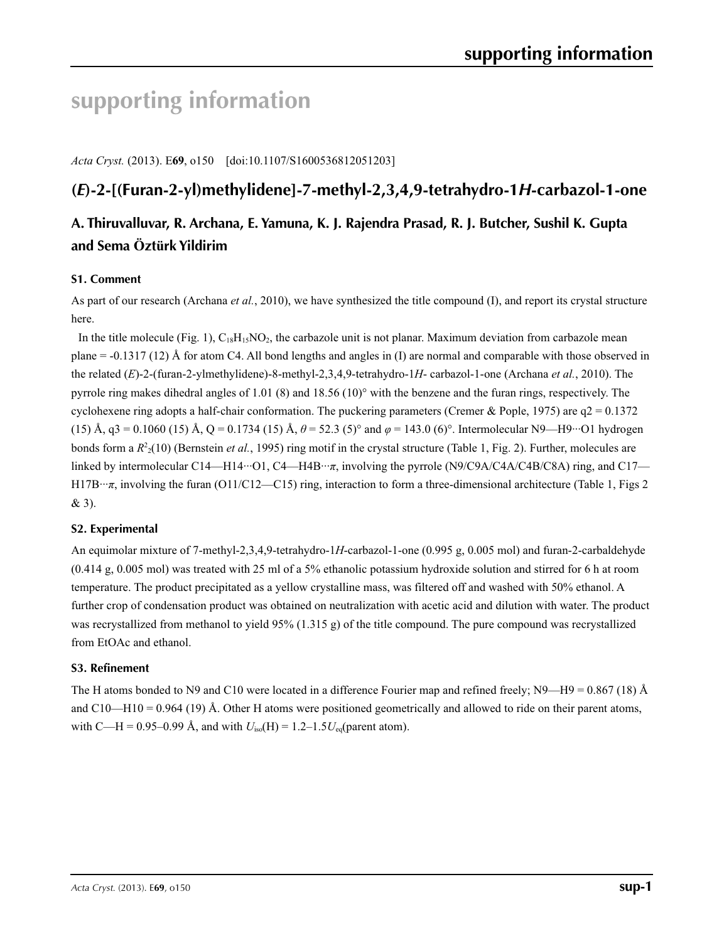# **supporting information**

*Acta Cryst.* (2013). E**69**, o150 [doi:10.1107/S1600536812051203]

# **(***E***)-2-[(Furan-2-yl)methylidene]-7-methyl-2,3,4,9-tetrahydro-1***H***-carbazol-1-one**

## **A. Thiruvalluvar, R. Archana, E. Yamuna, K. J. Rajendra Prasad, R. J. Butcher, Sushil K. Gupta and Sema Öztürk Yildirim**

### **S1. Comment**

As part of our research (Archana *et al.*, 2010), we have synthesized the title compound (I), and report its crystal structure here.

In the title molecule (Fig. 1),  $C_{18}H_{15}NO_2$ , the carbazole unit is not planar. Maximum deviation from carbazole mean plane = -0.1317 (12) Å for atom C4. All bond lengths and angles in (I) are normal and comparable with those observed in the related (*E*)-2-(furan-2-ylmethylidene)-8-methyl-2,3,4,9-tetrahydro-1*H*- carbazol-1-one (Archana *et al.*, 2010). The pyrrole ring makes dihedral angles of 1.01 (8) and 18.56 (10)° with the benzene and the furan rings, respectively. The cyclohexene ring adopts a half-chair conformation. The puckering parameters (Cremer & Pople, 1975) are  $q2 = 0.1372$ (15) Å, q3 = 0.1060 (15) Å, Q = 0.1734 (15) Å, *θ* = 52.3 (5)° and *φ* = 143.0 (6)°. Intermolecular N9—H9···O1 hydrogen bonds form a  $R^2(10)$  (Bernstein *et al.*, 1995) ring motif in the crystal structure (Table 1, Fig. 2). Further, molecules are linked by intermolecular C14—H14···O1, C4—H4B···*π*, involving the pyrrole (N9/C9A/C4A/C4B/C8A) ring, and C17— H17B···*π*, involving the furan (O11/C12—C15) ring, interaction to form a three-dimensional architecture (Table 1, Figs 2 & 3).

#### **S2. Experimental**

An equimolar mixture of 7-methyl-2,3,4,9-tetrahydro-1*H*-carbazol-1-one (0.995 g, 0.005 mol) and furan-2-carbaldehyde (0.414 g, 0.005 mol) was treated with 25 ml of a 5% ethanolic potassium hydroxide solution and stirred for 6 h at room temperature. The product precipitated as a yellow crystalline mass, was filtered off and washed with 50% ethanol. A further crop of condensation product was obtained on neutralization with acetic acid and dilution with water. The product was recrystallized from methanol to yield 95% (1.315 g) of the title compound. The pure compound was recrystallized from EtOAc and ethanol.

#### **S3. Refinement**

The H atoms bonded to N9 and C10 were located in a difference Fourier map and refined freely; N9—H9 = 0.867 (18) Å and C10—H10 = 0.964 (19) Å. Other H atoms were positioned geometrically and allowed to ride on their parent atoms, with C—H = 0.95–0.99 Å, and with  $U_{\text{iso}}(H) = 1.2 - 1.5U_{\text{eq}}$  (parent atom).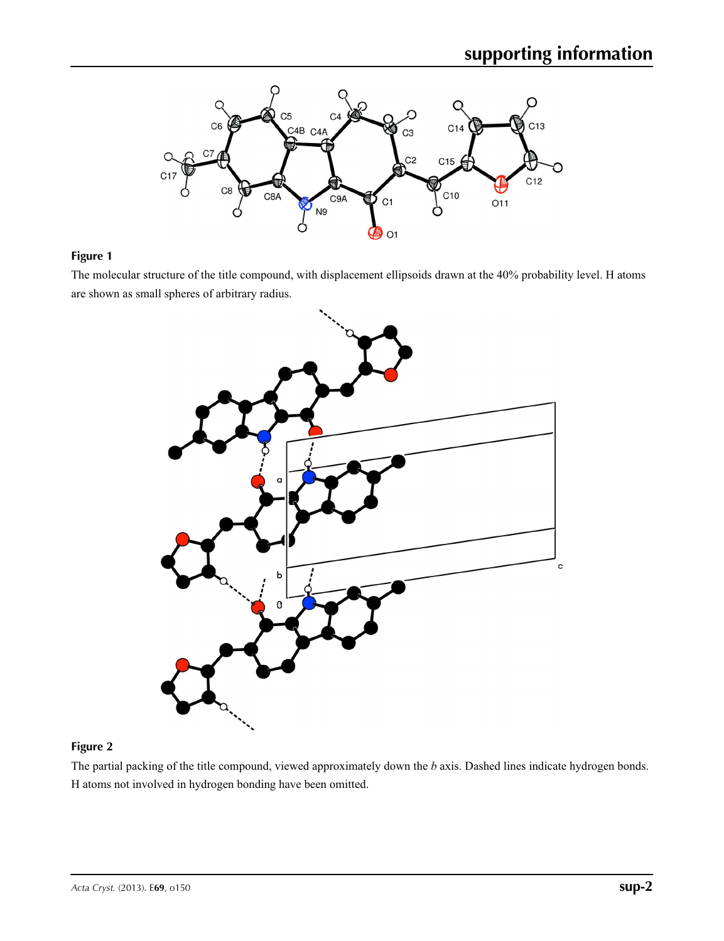

#### **Figure 1**

The molecular structure of the title compound, with displacement ellipsoids drawn at the 40% probability level. H atoms are shown as small spheres of arbitrary radius.



#### **Figure 2**

The partial packing of the title compound, viewed approximately down the *b* axis. Dashed lines indicate hydrogen bonds. H atoms not involved in hydrogen bonding have been omitted.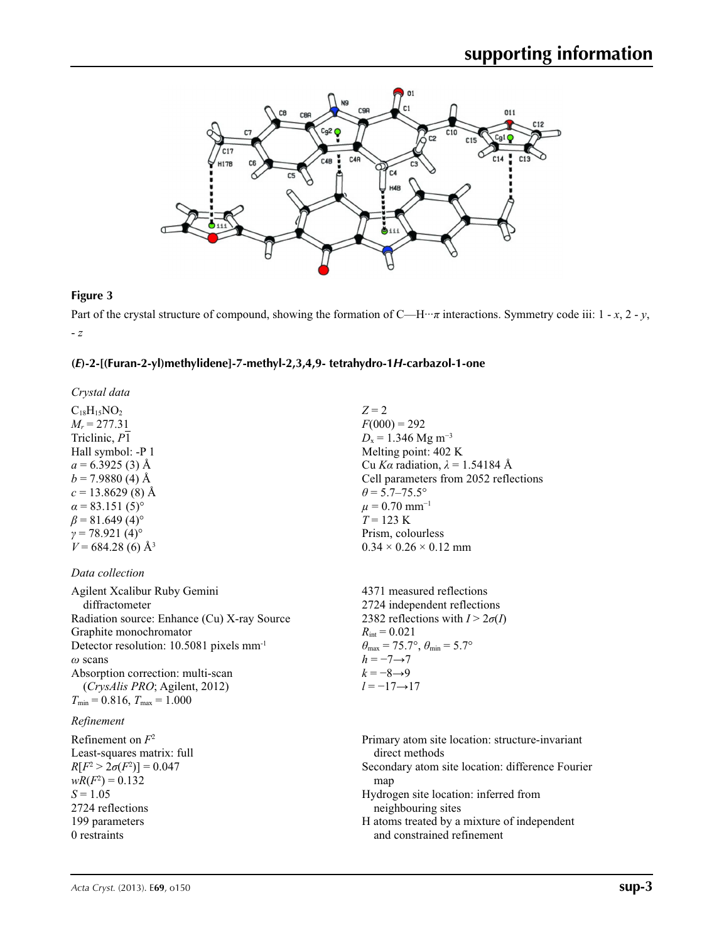

#### **Figure 3**

Part of the crystal structure of compound, showing the formation of C—H···*π* interactions. Symmetry code iii: 1 - *x*, 2 - *y*, - *z*

#### **(***E***)-2-[(Furan-2-yl)methylidene]-7-methyl-2,3,4,9- tetrahydro-1***H***-carbazol-1-one**

*Crystal data*

 $C_{18}H_{15}NO_2$  $M_r = 277.31$ Triclinic, *P*1 Hall symbol: -P 1  $a = 6.3925$  (3) Å  $b = 7.9880$  (4) Å  $c = 13.8629(8)$  Å  $\alpha = 83.151(5)^{\circ}$  $\beta$  = 81.649 (4)<sup>o</sup>  $γ = 78.921(4)°$  $V = 684.28$  (6) Å<sup>3</sup>

#### *Data collection*

Agilent Xcalibur Ruby Gemini diffractometer Radiation source: Enhance (Cu) X-ray Source Graphite monochromator Detector resolution: 10.5081 pixels mm-1 *ω* scans Absorption correction: multi-scan (*CrysAlis PRO*; Agilent, 2012)  $T_{\text{min}} = 0.816, T_{\text{max}} = 1.000$ 

#### *Refinement*

Refinement on *F*<sup>2</sup> Least-squares matrix: full *R*[ $F^2 > 2\sigma(F^2)$ ] = 0.047  $wR(F^2) = 0.132$  $S = 1.05$ 2724 reflections 199 parameters 0 restraints

*Z* = 2  $F(000) = 292$  $D_x = 1.346$  Mg m<sup>-3</sup> Melting point: 402 K Cu *Kα* radiation, *λ* = 1.54184 Å Cell parameters from 2052 reflections  $\theta$  = 5.7–75.5°  $\mu$  = 0.70 mm<sup>-1</sup> *T* = 123 K Prism, colourless  $0.34 \times 0.26 \times 0.12$  mm

4371 measured reflections 2724 independent reflections 2382 reflections with  $I > 2\sigma(I)$  $R_{\text{int}} = 0.021$  $\theta_{\text{max}} = 75.7^{\circ}, \theta_{\text{min}} = 5.7^{\circ}$  $h = -7 \rightarrow 7$  $k = -8 \rightarrow 9$ *l* = −17→17

Primary atom site location: structure-invariant direct methods Secondary atom site location: difference Fourier map Hydrogen site location: inferred from neighbouring sites H atoms treated by a mixture of independent and constrained refinement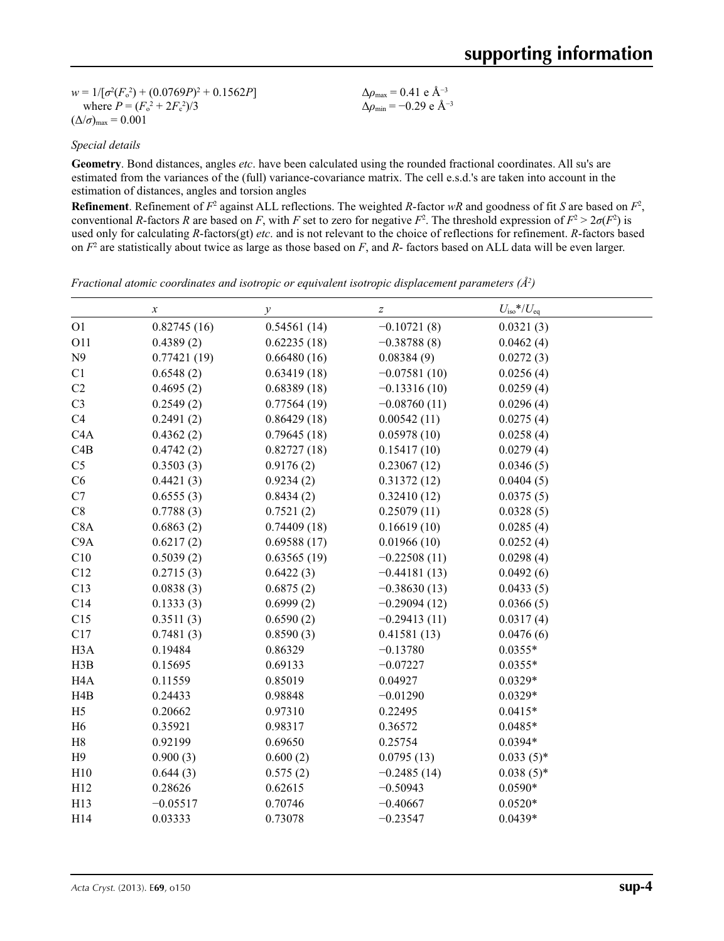$w = 1/[\sigma^2 (F_o^2) + (0.0769P)^2 + 0.1562P]$ where  $P = (F_o^2 + 2F_c^2)/3$  $(\Delta/\sigma)_{\text{max}} = 0.001$ 

 $\Delta\rho_{\text{max}} = 0.41$  e Å<sup>-3</sup> Δ*ρ*min = −0.29 e Å−3

#### *Special details*

**Geometry**. Bond distances, angles *etc*. have been calculated using the rounded fractional coordinates. All su's are estimated from the variances of the (full) variance-covariance matrix. The cell e.s.d.'s are taken into account in the estimation of distances, angles and torsion angles

**Refinement**. Refinement of  $F^2$  against ALL reflections. The weighted R-factor wR and goodness of fit *S* are based on  $F^2$ , conventional *R*-factors *R* are based on *F*, with *F* set to zero for negative *F*<sup>2</sup>. The threshold expression of  $F^2 > 2\sigma(F^2)$  is used only for calculating *R*-factors(gt) *etc*. and is not relevant to the choice of reflections for refinement. *R*-factors based on *F*<sup>2</sup> are statistically about twice as large as those based on *F*, and *R*- factors based on ALL data will be even larger.

| Fractional atomic coordinates and isotropic or equivalent isotropic displacement parameters $(\hat{A}^2)$ |  |  |  |  |  |  |
|-----------------------------------------------------------------------------------------------------------|--|--|--|--|--|--|
|-----------------------------------------------------------------------------------------------------------|--|--|--|--|--|--|

|                  | $\boldsymbol{x}$ | $\mathcal{Y}$ | $\boldsymbol{Z}$ | $U_{\text{iso}}$ */ $U_{\text{eq}}$ |  |
|------------------|------------------|---------------|------------------|-------------------------------------|--|
| O <sub>1</sub>   | 0.82745(16)      | 0.54561(14)   | $-0.10721(8)$    | 0.0321(3)                           |  |
| O11              | 0.4389(2)        | 0.62235(18)   | $-0.38788(8)$    | 0.0462(4)                           |  |
| N9               | 0.77421(19)      | 0.66480(16)   | 0.08384(9)       | 0.0272(3)                           |  |
| C1               | 0.6548(2)        | 0.63419(18)   | $-0.07581(10)$   | 0.0256(4)                           |  |
| C2               | 0.4695(2)        | 0.68389(18)   | $-0.13316(10)$   | 0.0259(4)                           |  |
| C <sub>3</sub>   | 0.2549(2)        | 0.77564(19)   | $-0.08760(11)$   | 0.0296(4)                           |  |
| C4               | 0.2491(2)        | 0.86429(18)   | 0.00542(11)      | 0.0275(4)                           |  |
| C4A              | 0.4362(2)        | 0.79645(18)   | 0.05978(10)      | 0.0258(4)                           |  |
| C4B              | 0.4742(2)        | 0.82727(18)   | 0.15417(10)      | 0.0279(4)                           |  |
| C <sub>5</sub>   | 0.3503(3)        | 0.9176(2)     | 0.23067(12)      | 0.0346(5)                           |  |
| C6               | 0.4421(3)        | 0.9234(2)     | 0.31372(12)      | 0.0404(5)                           |  |
| C7               | 0.6555(3)        | 0.8434(2)     | 0.32410(12)      | 0.0375(5)                           |  |
| C8               | 0.7788(3)        | 0.7521(2)     | 0.25079(11)      | 0.0328(5)                           |  |
| C8A              | 0.6863(2)        | 0.74409(18)   | 0.16619(10)      | 0.0285(4)                           |  |
| C <sub>9</sub> A | 0.6217(2)        | 0.69588(17)   | 0.01966(10)      | 0.0252(4)                           |  |
| C10              | 0.5039(2)        | 0.63565(19)   | $-0.22508(11)$   | 0.0298(4)                           |  |
| C12              | 0.2715(3)        | 0.6422(3)     | $-0.44181(13)$   | 0.0492(6)                           |  |
| C13              | 0.0838(3)        | 0.6875(2)     | $-0.38630(13)$   | 0.0433(5)                           |  |
| C14              | 0.1333(3)        | 0.6999(2)     | $-0.29094(12)$   | 0.0366(5)                           |  |
| C15              | 0.3511(3)        | 0.6590(2)     | $-0.29413(11)$   | 0.0317(4)                           |  |
| C17              | 0.7481(3)        | 0.8590(3)     | 0.41581(13)      | 0.0476(6)                           |  |
| H <sub>3</sub> A | 0.19484          | 0.86329       | $-0.13780$       | $0.0355*$                           |  |
| H3B              | 0.15695          | 0.69133       | $-0.07227$       | $0.0355*$                           |  |
| H <sub>4</sub> A | 0.11559          | 0.85019       | 0.04927          | $0.0329*$                           |  |
| H4B              | 0.24433          | 0.98848       | $-0.01290$       | $0.0329*$                           |  |
| H <sub>5</sub>   | 0.20662          | 0.97310       | 0.22495          | $0.0415*$                           |  |
| H <sub>6</sub>   | 0.35921          | 0.98317       | 0.36572          | $0.0485*$                           |  |
| H8               | 0.92199          | 0.69650       | 0.25754          | $0.0394*$                           |  |
| H9               | 0.900(3)         | 0.600(2)      | 0.0795(13)       | $0.033(5)$ *                        |  |
| H10              | 0.644(3)         | 0.575(2)      | $-0.2485(14)$    | $0.038(5)$ *                        |  |
| H12              | 0.28626          | 0.62615       | $-0.50943$       | $0.0590*$                           |  |
| H13              | $-0.05517$       | 0.70746       | $-0.40667$       | $0.0520*$                           |  |
| H14              | 0.03333          | 0.73078       | $-0.23547$       | $0.0439*$                           |  |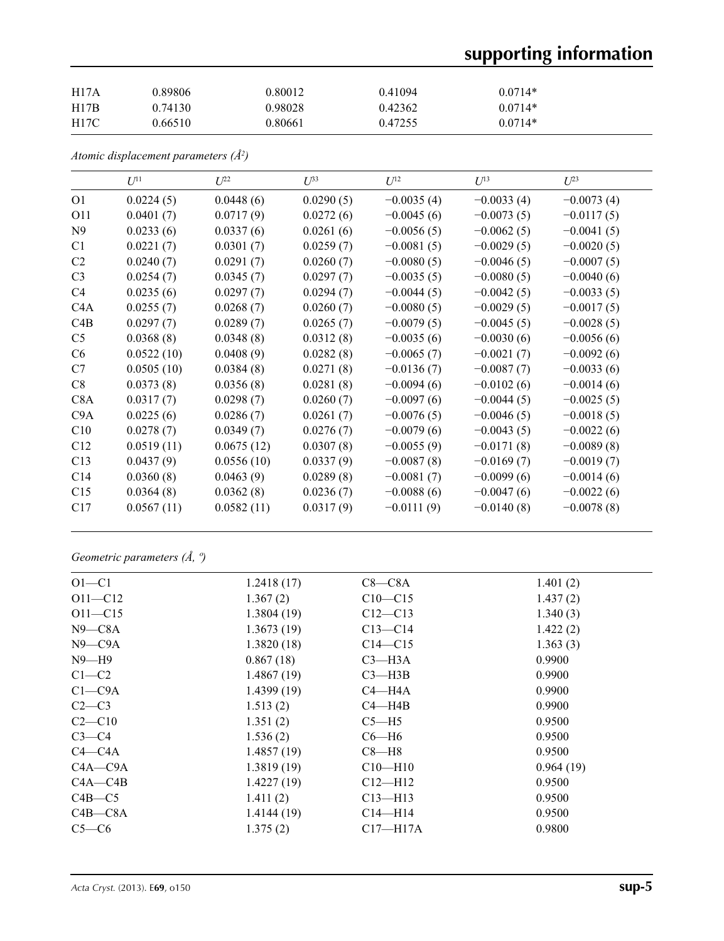# **supporting information**

| <b>H17A</b> | 0.89806 | 0.80012 | 0.41094 | $0.0714*$ |
|-------------|---------|---------|---------|-----------|
| H17B        | 0.74130 | 0.98028 | 0.42362 | $0.0714*$ |
| <b>H17C</b> | 0.66510 | 0.80661 | 0.47255 | $0.0714*$ |

*Atomic displacement parameters (Å2 )*

|                 | $U^{11}$   | $U^{22}$   | $U^{33}$  | $U^{12}$     | $U^{13}$     | $U^{23}$     |
|-----------------|------------|------------|-----------|--------------|--------------|--------------|
| O <sub>1</sub>  | 0.0224(5)  | 0.0448(6)  | 0.0290(5) | $-0.0035(4)$ | $-0.0033(4)$ | $-0.0073(4)$ |
| O11             | 0.0401(7)  | 0.0717(9)  | 0.0272(6) | $-0.0045(6)$ | $-0.0073(5)$ | $-0.0117(5)$ |
| N <sub>9</sub>  | 0.0233(6)  | 0.0337(6)  | 0.0261(6) | $-0.0056(5)$ | $-0.0062(5)$ | $-0.0041(5)$ |
| C <sub>1</sub>  | 0.0221(7)  | 0.0301(7)  | 0.0259(7) | $-0.0081(5)$ | $-0.0029(5)$ | $-0.0020(5)$ |
| C2              | 0.0240(7)  | 0.0291(7)  | 0.0260(7) | $-0.0080(5)$ | $-0.0046(5)$ | $-0.0007(5)$ |
| C <sub>3</sub>  | 0.0254(7)  | 0.0345(7)  | 0.0297(7) | $-0.0035(5)$ | $-0.0080(5)$ | $-0.0040(6)$ |
| C4              | 0.0235(6)  | 0.0297(7)  | 0.0294(7) | $-0.0044(5)$ | $-0.0042(5)$ | $-0.0033(5)$ |
| C4A             | 0.0255(7)  | 0.0268(7)  | 0.0260(7) | $-0.0080(5)$ | $-0.0029(5)$ | $-0.0017(5)$ |
| C4B             | 0.0297(7)  | 0.0289(7)  | 0.0265(7) | $-0.0079(5)$ | $-0.0045(5)$ | $-0.0028(5)$ |
| C <sub>5</sub>  | 0.0368(8)  | 0.0348(8)  | 0.0312(8) | $-0.0035(6)$ | $-0.0030(6)$ | $-0.0056(6)$ |
| C <sub>6</sub>  | 0.0522(10) | 0.0408(9)  | 0.0282(8) | $-0.0065(7)$ | $-0.0021(7)$ | $-0.0092(6)$ |
| C7              | 0.0505(10) | 0.0384(8)  | 0.0271(8) | $-0.0136(7)$ | $-0.0087(7)$ | $-0.0033(6)$ |
| C8              | 0.0373(8)  | 0.0356(8)  | 0.0281(8) | $-0.0094(6)$ | $-0.0102(6)$ | $-0.0014(6)$ |
| C8A             | 0.0317(7)  | 0.0298(7)  | 0.0260(7) | $-0.0097(6)$ | $-0.0044(5)$ | $-0.0025(5)$ |
| C9A             | 0.0225(6)  | 0.0286(7)  | 0.0261(7) | $-0.0076(5)$ | $-0.0046(5)$ | $-0.0018(5)$ |
| C10             | 0.0278(7)  | 0.0349(7)  | 0.0276(7) | $-0.0079(6)$ | $-0.0043(5)$ | $-0.0022(6)$ |
| C12             | 0.0519(11) | 0.0675(12) | 0.0307(8) | $-0.0055(9)$ | $-0.0171(8)$ | $-0.0089(8)$ |
| C13             | 0.0437(9)  | 0.0556(10) | 0.0337(9) | $-0.0087(8)$ | $-0.0169(7)$ | $-0.0019(7)$ |
| C <sub>14</sub> | 0.0360(8)  | 0.0463(9)  | 0.0289(8) | $-0.0081(7)$ | $-0.0099(6)$ | $-0.0014(6)$ |
| C15             | 0.0364(8)  | 0.0362(8)  | 0.0236(7) | $-0.0088(6)$ | $-0.0047(6)$ | $-0.0022(6)$ |
| C17             | 0.0567(11) | 0.0582(11) | 0.0317(9) | $-0.0111(9)$ | $-0.0140(8)$ | $-0.0078(8)$ |

*Geometric parameters (Å, º)*

| $O1 - C1$    | 1.2418(17) | $C8-C8A$     | 1.401(2)  |
|--------------|------------|--------------|-----------|
| $O11 - C12$  | 1.367(2)   | $C10 - C15$  | 1.437(2)  |
| $O11 - C15$  | 1.3804(19) | $C12-C13$    | 1.340(3)  |
| $N9$ — $C8A$ | 1.3673(19) | $C13 - C14$  | 1.422(2)  |
| $N9$ — $C9A$ | 1.3820(18) | $C14 - C15$  | 1.363(3)  |
| $N9 - H9$    | 0.867(18)  | $C3 - H3A$   | 0.9900    |
| $C1-C2$      | 1.4867(19) | $C3$ —H3B    | 0.9900    |
| $C1 - C9A$   | 1.4399(19) | $C4 - H4A$   | 0.9900    |
| $C2-C3$      | 1.513(2)   | $C4 - H4B$   | 0.9900    |
| $C2-C10$     | 1.351(2)   | $C5 - H5$    | 0.9500    |
| $C3-C4$      | 1.536(2)   | $C6 - H6$    | 0.9500    |
| $C4$ — $C4A$ | 1.4857(19) | $C8 - H8$    | 0.9500    |
| $C4A - C9A$  | 1.3819(19) | $C10 - H10$  | 0.964(19) |
| $C4A - C4B$  | 1.4227(19) | $C12-H12$    | 0.9500    |
| $C4B - C5$   | 1.411(2)   | $C13$ —H13   | 0.9500    |
| $C4B - C8A$  | 1.4144(19) | $C14$ —H14   | 0.9500    |
| $C5-C6$      | 1.375(2)   | $C17 - H17A$ | 0.9800    |
|              |            |              |           |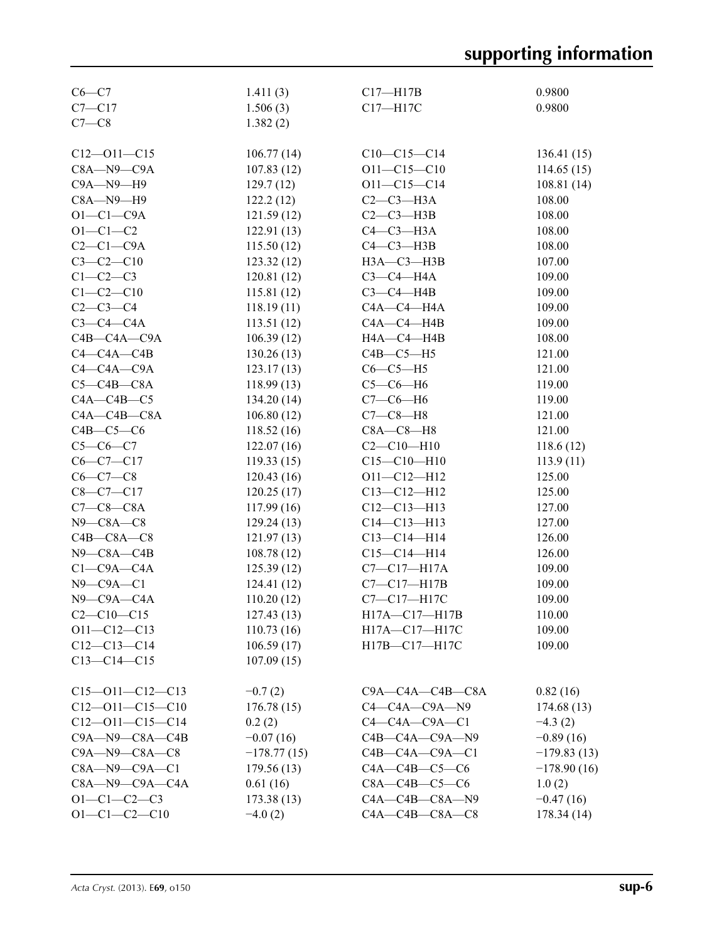| $C6 - C7$               | 1.411(3)      | $C17 - H17B$            | 0.9800        |
|-------------------------|---------------|-------------------------|---------------|
| $C7 - C17$              | 1.506(3)      | $C17 - H17C$            | 0.9800        |
| $C7-C8$                 | 1.382(2)      |                         |               |
|                         |               |                         |               |
| $C12 - 011 - C15$       | 106.77(14)    | $C10-C15-C14$           | 136.41(15)    |
| $C8A - N9 - C9A$        | 107.83(12)    | $O11 - C15 - C10$       | 114.65(15)    |
| $C9A - N9 - H9$         | 129.7(12)     | $O11 - C15 - C14$       | 108.81(14)    |
| $C8A - N9 - H9$         | 122.2(12)     | $C2-C3-H3A$             | 108.00        |
| $O1-C1-C9A$             | 121.59(12)    | $C2-C3-H3B$             | 108.00        |
| $O1 - C1 - C2$          | 122.91(13)    | $C4-C3-H3A$             | 108.00        |
| $C2-C1-C9A$             | 115.50(12)    | $C4-C3-H3B$             | 108.00        |
| $C3-C2-C10$             | 123.32(12)    | $H3A - C3 - H3B$        | 107.00        |
| $C1-C2-C3$              | 120.81(12)    | $C3-C4-H4A$             | 109.00        |
| $C1 - C2 - C10$         | 115.81(12)    | $C3-C4-H4B$             | 109.00        |
| $C2 - C3 - C4$          | 118.19(11)    | $C4A - C4 - H4A$        | 109.00        |
| $C3-C4-C4A$             | 113.51(12)    | $CAA - C4 - H4B$        | 109.00        |
| $C4B - C4A - C9A$       | 106.39(12)    | HA—C4—H4B               | 108.00        |
| $C4 - C4A - C4B$        | 130.26(13)    | $C4B - C5 - H5$         | 121.00        |
| $C4 - C4A - C9A$        | 123.17(13)    | $C6-C5-H5$              | 121.00        |
| $C5-C4B-C8A$            |               | $C5-C6-H6$              | 119.00        |
| $C4A - C4B - C5$        | 118.99(13)    | $C7-C6-H6$              | 119.00        |
|                         | 134.20(14)    |                         |               |
| $C4A - C4B - C8A$       | 106.80(12)    | $C7-C8-H8$              | 121.00        |
| $C4B-C5-C6$             | 118.52(16)    | $C8A - C8 - H8$         | 121.00        |
| $C5-C6-C7$              | 122.07(16)    | $C2 - C10 - H10$        | 118.6(12)     |
| $C6-C7-C17$             | 119.33(15)    | $C15 - C10 - H10$       | 113.9(11)     |
| $C6-C7-C8$              | 120.43(16)    | $O11 - C12 - H12$       | 125.00        |
| $C8-C7-C17$             | 120.25(17)    | $C13 - C12 - H12$       | 125.00        |
| $C7-C8-C8A$             | 117.99(16)    | $C12-C13-H13$           | 127.00        |
| $N9 - C8A - C8$         | 129.24(13)    | $C14 - C13 - H13$       | 127.00        |
| $C4B - C8A - C8$        | 121.97(13)    | $C13 - C14 - H14$       | 126.00        |
| $N9 - C8A - C4B$        | 108.78(12)    | $C15-C14-H14$           | 126.00        |
| $C1-C9A-C4A$            | 125.39(12)    | C7-C17-H17A             | 109.00        |
| $N9$ – $C9A$ – $C1$     | 124.41(12)    | $C7-C17-H17B$           | 109.00        |
| $N9$ –C $9A$ –C $4A$    | 110.20(12)    | C7-C17-H17C             | 109.00        |
| $C2 - C10 - C15$        | 127.43(13)    | H17A-C17-H17B           | 110.00        |
| $O11 - C12 - C13$       | 110.73(16)    | H17A-C17-H17C           | 109.00        |
| $C12-C13-C14$           | 106.59(17)    | H17B-C17-H17C           | 109.00        |
| $C13 - C14 - C15$       | 107.09(15)    |                         |               |
|                         |               |                         |               |
| $C15 - 011 - C12 - C13$ | $-0.7(2)$     | $C9A - C4A - C4B - C8A$ | 0.82(16)      |
| $C12 - 011 - C15 - C10$ | 176.78(15)    | $C4-C4A-C9A-N9$         | 174.68(13)    |
| $C12 - 011 - C15 - C14$ | 0.2(2)        | $C4-C4A-C9A-C1$         | $-4.3(2)$     |
| $C9A - N9 - C8A - C4B$  | $-0.07(16)$   | $C4B - C4A - C9A - N9$  | $-0.89(16)$   |
| $C9A - N9 - C8A - C8$   | $-178.77(15)$ | $C4B - C4A - C9A - C1$  | $-179.83(13)$ |
| $C8A - N9 - C9A - C1$   | 179.56(13)    | $C4A - C4B - C5 - C6$   | $-178.90(16)$ |
| $C8A - N9 - C9A - C4A$  | 0.61(16)      | $C8A - C4B - C5 - C6$   | 1.0(2)        |
| $O1 - C1 - C2 - C3$     | 173.38(13)    | $C4A - C4B - C8A - N9$  | $-0.47(16)$   |
| $O1 - C1 - C2 - C10$    | $-4.0(2)$     | $C4A - C4B - C8A - C8$  | 178.34(14)    |